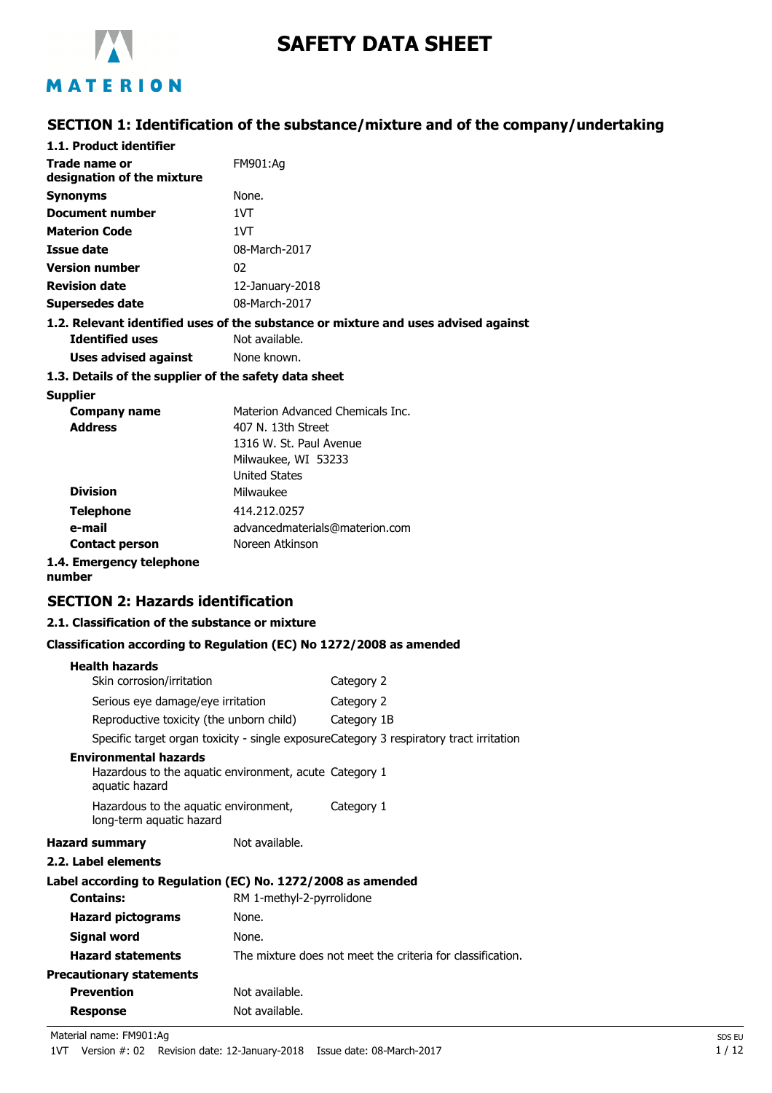

# **SAFETY DATA SHEET**

# MATERION

## **SECTION 1: Identification of the substance/mixture and of the company/undertaking**

| 1.1. Product identifier                               |                                                                                    |
|-------------------------------------------------------|------------------------------------------------------------------------------------|
| Trade name or<br>designation of the mixture           | FM901:Ag                                                                           |
| <b>Synonyms</b>                                       | None.                                                                              |
| Document number                                       | 1VT                                                                                |
| <b>Materion Code</b>                                  | 1VT                                                                                |
| Issue date                                            | 08-March-2017                                                                      |
| <b>Version number</b>                                 | 02                                                                                 |
| <b>Revision date</b>                                  | 12-January-2018                                                                    |
| Supersedes date                                       | 08-March-2017                                                                      |
|                                                       | 1.2. Relevant identified uses of the substance or mixture and uses advised against |
| <b>Identified uses</b>                                | Not available.                                                                     |
| Uses advised against                                  | None known.                                                                        |
| 1.3. Details of the supplier of the safety data sheet |                                                                                    |
| <b>Supplier</b>                                       |                                                                                    |
| Company name                                          | Materion Advanced Chemicals Inc.                                                   |
| <b>Address</b>                                        | 407 N. 13th Street                                                                 |
|                                                       | 1316 W. St. Paul Avenue                                                            |
|                                                       | Milwaukee, WI 53233                                                                |

|                          | L'IIIWQUNCC, VVI JJZJJ         |
|--------------------------|--------------------------------|
|                          | <b>United States</b>           |
| <b>Division</b>          | Milwaukee                      |
| <b>Telephone</b>         | 414.212.0257                   |
| e-mail                   | advancedmaterials@materion.com |
| <b>Contact person</b>    | Noreen Atkinson                |
| 1.4. Emergency telephone |                                |

**number**

### **SECTION 2: Hazards identification**

### **2.1. Classification of the substance or mixture**

#### **Classification according to Regulation (EC) No 1272/2008 as amended**

| <b>Health hazards</b>                                                                                    |                           |                                                                                         |
|----------------------------------------------------------------------------------------------------------|---------------------------|-----------------------------------------------------------------------------------------|
| Skin corrosion/irritation                                                                                |                           | Category 2                                                                              |
| Serious eye damage/eye irritation                                                                        |                           | Category 2                                                                              |
| Reproductive toxicity (the unborn child)                                                                 |                           | Category 1B                                                                             |
|                                                                                                          |                           | Specific target organ toxicity - single exposureCategory 3 respiratory tract irritation |
| <b>Environmental hazards</b><br>Hazardous to the aquatic environment, acute Category 1<br>aquatic hazard |                           |                                                                                         |
| Hazardous to the aquatic environment,<br>long-term aquatic hazard                                        |                           | Category 1                                                                              |
| <b>Hazard summary</b>                                                                                    | Not available.            |                                                                                         |
| 2.2. Label elements                                                                                      |                           |                                                                                         |
| Label according to Regulation (EC) No. 1272/2008 as amended                                              |                           |                                                                                         |
| <b>Contains:</b>                                                                                         | RM 1-methyl-2-pyrrolidone |                                                                                         |
| <b>Hazard pictograms</b>                                                                                 | None.                     |                                                                                         |
| <b>Signal word</b>                                                                                       | None.                     |                                                                                         |
| <b>Hazard statements</b>                                                                                 |                           | The mixture does not meet the criteria for classification.                              |
| <b>Precautionary statements</b>                                                                          |                           |                                                                                         |
| <b>Prevention</b>                                                                                        | Not available.            |                                                                                         |
| <b>Response</b>                                                                                          | Not available.            |                                                                                         |

Material name: FM901:Ag SDS EU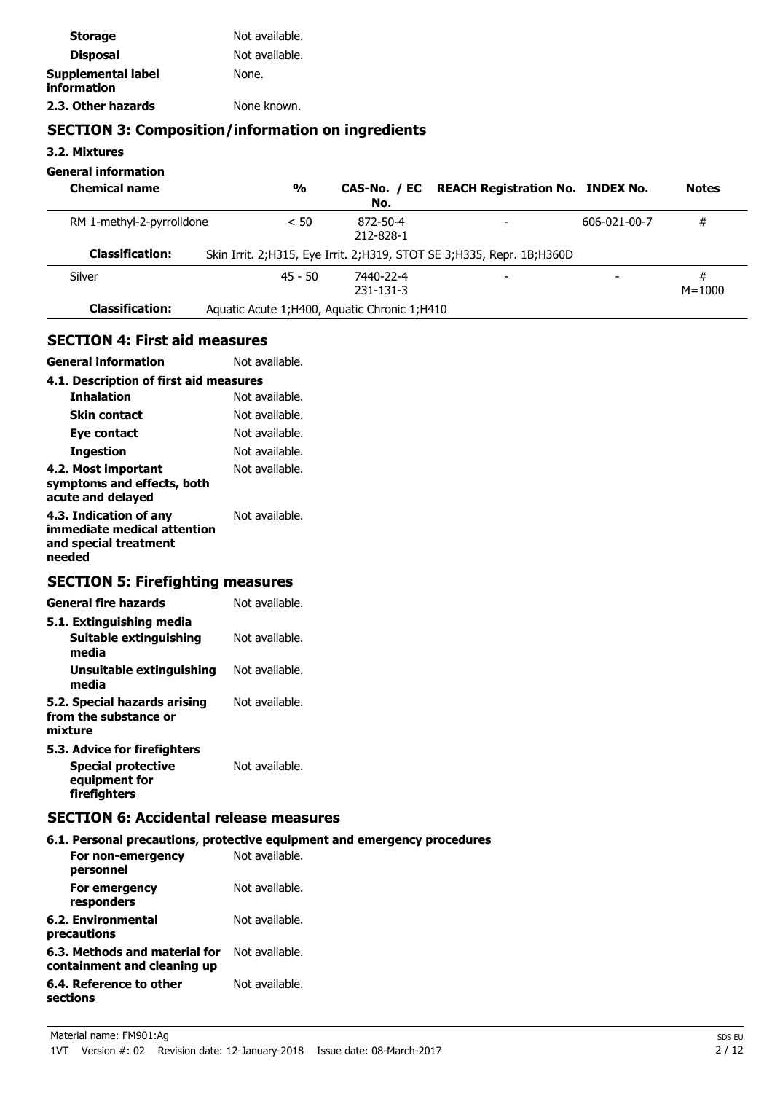| <b>Storage</b>                    | Not available. |
|-----------------------------------|----------------|
| <b>Disposal</b>                   | Not available. |
| Supplemental label<br>information | None.          |
| 2.3. Other hazards                | None known.    |

# **SECTION 3: Composition/information on ingredients**

**3.2. Mixtures**

### **General information**

| <b>Chemical name</b>      | $\frac{0}{0}$                                  | No.                    | CAS-No. / EC REACH Registration No. INDEX No.                             |              | <b>Notes</b>    |
|---------------------------|------------------------------------------------|------------------------|---------------------------------------------------------------------------|--------------|-----------------|
| RM 1-methyl-2-pyrrolidone | < 50                                           | 872-50-4<br>212-828-1  |                                                                           | 606-021-00-7 | #               |
| <b>Classification:</b>    |                                                |                        | Skin Irrit. 2; H315, Eye Irrit. 2; H319, STOT SE 3; H335, Repr. 1B; H360D |              |                 |
| Silver                    | $45 - 50$                                      | 7440-22-4<br>231-131-3 | ۰                                                                         |              | #<br>$M = 1000$ |
| <b>Classification:</b>    | Aquatic Acute 1; H400, Aquatic Chronic 1; H410 |                        |                                                                           |              |                 |

### **SECTION 4: First aid measures**

**General information** Not available.

| 4.1. Description of first aid measures                                                   |                |  |
|------------------------------------------------------------------------------------------|----------------|--|
| <b>Inhalation</b>                                                                        | Not available. |  |
| <b>Skin contact</b>                                                                      | Not available. |  |
| Eye contact                                                                              | Not available. |  |
| Ingestion                                                                                | Not available. |  |
| 4.2. Most important<br>symptoms and effects, both<br>acute and delayed                   | Not available. |  |
| 4.3. Indication of any<br>immediate medical attention<br>and special treatment<br>needed | Not available. |  |

# **SECTION 5: Firefighting measures**

| <b>General fire hazards</b>                                      | Not available. |
|------------------------------------------------------------------|----------------|
| 5.1. Extinguishing media                                         |                |
| Suitable extinguishing<br>media                                  | Not available. |
| Unsuitable extinguishing<br>media                                | Not available. |
| 5.2. Special hazards arising<br>from the substance or<br>mixture | Not available. |
| 5.3. Advice for firefighters                                     |                |
| <b>Special protective</b><br>equipment for                       | Not available. |

### **SECTION 6: Accidental release measures**

**firefighters**

|                                                              | 6.1. Personal precautions, protective equipment and emergency procedures |
|--------------------------------------------------------------|--------------------------------------------------------------------------|
| For non-emergency<br>personnel                               | Not available.                                                           |
| For emergency<br>responders                                  | Not available.                                                           |
| 6.2. Environmental<br>precautions                            | Not available.                                                           |
| 6.3. Methods and material for<br>containment and cleaning up | Not available.                                                           |
| 6.4. Reference to other<br>sections                          | Not available.                                                           |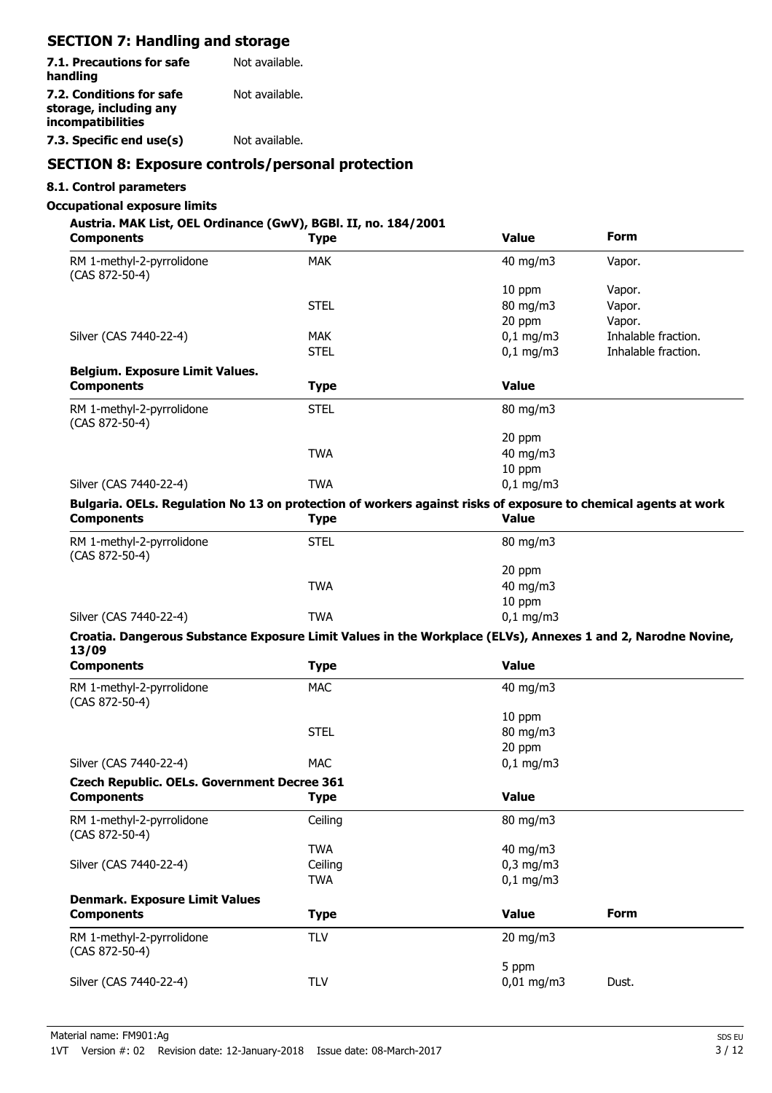# **SECTION 7: Handling and storage**

| 7.1. Precautions for safe<br>handling                                   | Not available. |
|-------------------------------------------------------------------------|----------------|
| 7.2. Conditions for safe<br>storage, including any<br>incompatibilities | Not available. |
| 7.3. Specific end use(s)                                                | Not available. |

## **SECTION 8: Exposure controls/personal protection**

### **8.1. Control parameters**

#### **Occupational exposure limits**

### **Austria. MAK List, OEL Ordinance (GwV), BGBl. II, no. 184/2001**

| <b>Components</b>                                                                                                                   | <b>Type</b> | <b>Value</b>   | Form                |
|-------------------------------------------------------------------------------------------------------------------------------------|-------------|----------------|---------------------|
| RM 1-methyl-2-pyrrolidone<br>(CAS 872-50-4)                                                                                         | <b>MAK</b>  | 40 mg/m3       | Vapor.              |
|                                                                                                                                     |             | 10 ppm         | Vapor.              |
|                                                                                                                                     | <b>STEL</b> | 80 mg/m3       | Vapor.              |
|                                                                                                                                     |             | 20 ppm         | Vapor.              |
| Silver (CAS 7440-22-4)                                                                                                              | <b>MAK</b>  | $0,1$ mg/m3    | Inhalable fraction. |
|                                                                                                                                     | <b>STEL</b> | $0,1$ mg/m3    | Inhalable fraction. |
| <b>Belgium. Exposure Limit Values.</b>                                                                                              |             |                |                     |
| <b>Components</b>                                                                                                                   | <b>Type</b> | <b>Value</b>   |                     |
| RM 1-methyl-2-pyrrolidone<br>(CAS 872-50-4)                                                                                         | <b>STEL</b> | 80 mg/m3       |                     |
|                                                                                                                                     |             | 20 ppm         |                     |
|                                                                                                                                     | <b>TWA</b>  | 40 mg/m3       |                     |
|                                                                                                                                     |             | 10 ppm         |                     |
| Silver (CAS 7440-22-4)                                                                                                              | <b>TWA</b>  | $0,1$ mg/m3    |                     |
| Bulgaria. OELs. Regulation No 13 on protection of workers against risks of exposure to chemical agents at work<br><b>Components</b> | <b>Type</b> | <b>Value</b>   |                     |
| RM 1-methyl-2-pyrrolidone<br>(CAS 872-50-4)                                                                                         | <b>STEL</b> | 80 mg/m3       |                     |
|                                                                                                                                     |             | 20 ppm         |                     |
|                                                                                                                                     | <b>TWA</b>  | 40 mg/m3       |                     |
|                                                                                                                                     |             | 10 ppm         |                     |
| Silver (CAS 7440-22-4)                                                                                                              | <b>TWA</b>  | $0,1$ mg/m3    |                     |
| Croatia. Dangerous Substance Exposure Limit Values in the Workplace (ELVs), Annexes 1 and 2, Narodne Novine,<br>13/09               |             |                |                     |
| <b>Components</b>                                                                                                                   | <b>Type</b> | <b>Value</b>   |                     |
| RM 1-methyl-2-pyrrolidone<br>(CAS 872-50-4)                                                                                         | <b>MAC</b>  | 40 mg/m3       |                     |
|                                                                                                                                     |             | 10 ppm         |                     |
|                                                                                                                                     | <b>STEL</b> | 80 mg/m3       |                     |
|                                                                                                                                     |             | 20 ppm         |                     |
| Silver (CAS 7440-22-4)                                                                                                              | <b>MAC</b>  | $0,1$ mg/m3    |                     |
| <b>Czech Republic. OELs. Government Decree 361</b>                                                                                  |             |                |                     |
| <b>Components</b>                                                                                                                   | <b>Type</b> | <b>Value</b>   |                     |
| RM 1-methyl-2-pyrrolidone<br>(CAS 872-50-4)                                                                                         | Ceiling     | 80 mg/m3       |                     |
|                                                                                                                                     | <b>TWA</b>  | 40 mg/m3       |                     |
| Silver (CAS 7440-22-4)                                                                                                              | Ceiling     | $0,3$ mg/m $3$ |                     |
|                                                                                                                                     | <b>TWA</b>  | $0,1$ mg/m3    |                     |
| <b>Denmark. Exposure Limit Values</b>                                                                                               |             |                |                     |
| <b>Components</b>                                                                                                                   | <b>Type</b> | <b>Value</b>   | <b>Form</b>         |
| RM 1-methyl-2-pyrrolidone<br>(CAS 872-50-4)                                                                                         | <b>TLV</b>  | 20 mg/m3       |                     |
|                                                                                                                                     |             | 5 ppm          |                     |
| Silver (CAS 7440-22-4)                                                                                                              | <b>TLV</b>  | $0,01$ mg/m3   | Dust.               |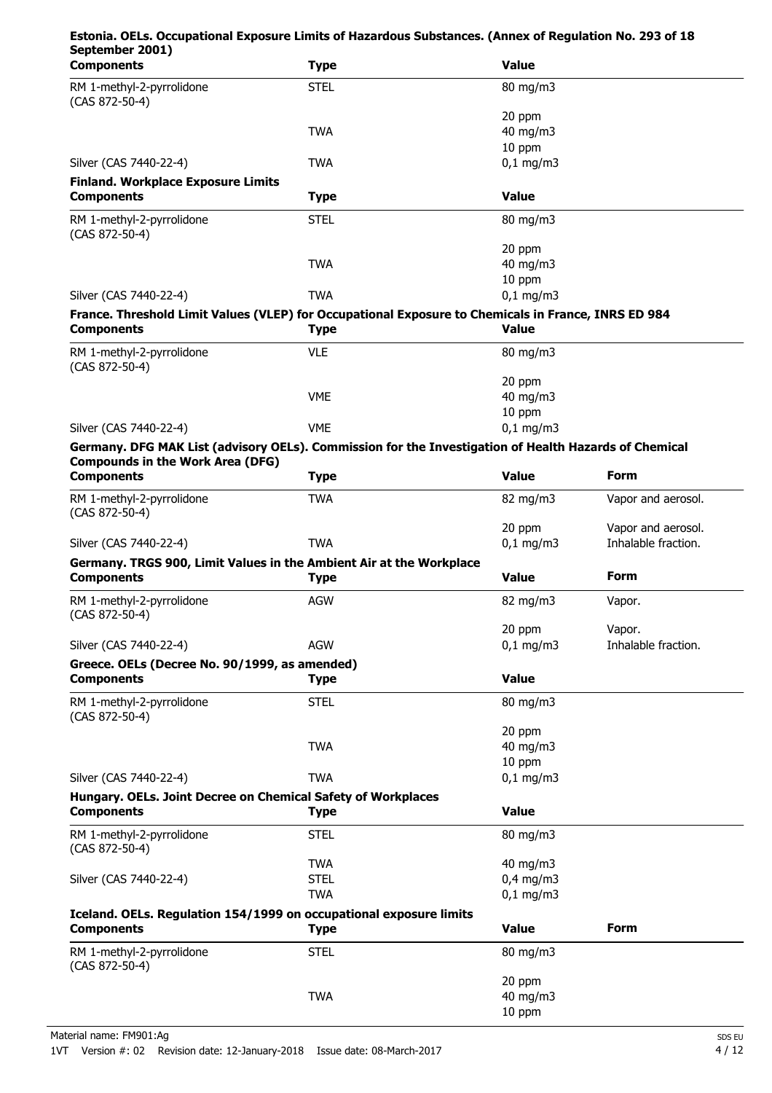## **Estonia. OELs. Occupational Exposure Limits of Hazardous Substances. (Annex of Regulation No. 293 of 18 September 2001)**

| <b>Components</b>                                                                                                        | <b>Type</b> | <b>Value</b>      |                     |
|--------------------------------------------------------------------------------------------------------------------------|-------------|-------------------|---------------------|
| RM 1-methyl-2-pyrrolidone<br>(CAS 872-50-4)                                                                              | <b>STEL</b> | 80 mg/m3          |                     |
|                                                                                                                          |             | 20 ppm            |                     |
|                                                                                                                          | <b>TWA</b>  | 40 mg/m3          |                     |
|                                                                                                                          |             | 10 ppm            |                     |
| Silver (CAS 7440-22-4)                                                                                                   | <b>TWA</b>  | $0,1$ mg/m3       |                     |
| <b>Finland. Workplace Exposure Limits</b><br><b>Components</b>                                                           | <b>Type</b> | <b>Value</b>      |                     |
| RM 1-methyl-2-pyrrolidone                                                                                                | <b>STEL</b> | 80 mg/m3          |                     |
| (CAS 872-50-4)                                                                                                           |             | 20 ppm            |                     |
|                                                                                                                          | <b>TWA</b>  | 40 mg/m3          |                     |
|                                                                                                                          |             | 10 ppm            |                     |
| Silver (CAS 7440-22-4)                                                                                                   | <b>TWA</b>  | $0,1$ mg/m3       |                     |
| France. Threshold Limit Values (VLEP) for Occupational Exposure to Chemicals in France, INRS ED 984<br><b>Components</b> | <b>Type</b> | <b>Value</b>      |                     |
| RM 1-methyl-2-pyrrolidone                                                                                                | <b>VLE</b>  | 80 mg/m3          |                     |
| (CAS 872-50-4)                                                                                                           |             |                   |                     |
|                                                                                                                          |             | 20 ppm            |                     |
|                                                                                                                          | <b>VME</b>  | 40 mg/m3          |                     |
|                                                                                                                          |             | 10 ppm            |                     |
| Silver (CAS 7440-22-4)                                                                                                   | <b>VME</b>  | $0,1$ mg/m3       |                     |
| Germany. DFG MAK List (advisory OELs). Commission for the Investigation of Health Hazards of Chemical                    |             |                   |                     |
| <b>Compounds in the Work Area (DFG)</b><br><b>Components</b>                                                             | <b>Type</b> | <b>Value</b>      | Form                |
| RM 1-methyl-2-pyrrolidone                                                                                                | <b>TWA</b>  | 82 mg/m3          | Vapor and aerosol.  |
| (CAS 872-50-4)                                                                                                           |             | 20 ppm            | Vapor and aerosol.  |
| Silver (CAS 7440-22-4)                                                                                                   | <b>TWA</b>  | $0,1$ mg/m3       | Inhalable fraction. |
| Germany. TRGS 900, Limit Values in the Ambient Air at the Workplace<br><b>Components</b>                                 | <b>Type</b> | <b>Value</b>      | <b>Form</b>         |
| RM 1-methyl-2-pyrrolidone                                                                                                | <b>AGW</b>  | 82 mg/m3          | Vapor.              |
| (CAS 872-50-4)                                                                                                           |             |                   |                     |
|                                                                                                                          |             | 20 ppm            | Vapor.              |
| Silver (CAS 7440-22-4)                                                                                                   | AGW         | $0,1$ mg/m3       | Inhalable fraction. |
| Greece. OELs (Decree No. 90/1999, as amended)                                                                            |             |                   |                     |
| <b>Components</b>                                                                                                        | <b>Type</b> | <b>Value</b>      |                     |
| RM 1-methyl-2-pyrrolidone<br>(CAS 872-50-4)                                                                              | <b>STEL</b> | 80 mg/m3          |                     |
|                                                                                                                          |             | 20 ppm            |                     |
|                                                                                                                          | <b>TWA</b>  | 40 mg/m3          |                     |
|                                                                                                                          |             | 10 ppm            |                     |
| Silver (CAS 7440-22-4)                                                                                                   | <b>TWA</b>  | $0,1$ mg/m3       |                     |
| Hungary. OELs. Joint Decree on Chemical Safety of Workplaces<br><b>Components</b>                                        | <b>Type</b> | <b>Value</b>      |                     |
| RM 1-methyl-2-pyrrolidone<br>(CAS 872-50-4)                                                                              | <b>STEL</b> | 80 mg/m3          |                     |
|                                                                                                                          | <b>TWA</b>  | $40 \text{ mg/m}$ |                     |
| Silver (CAS 7440-22-4)                                                                                                   | <b>STEL</b> | $0,4$ mg/m3       |                     |
|                                                                                                                          | <b>TWA</b>  | $0,1$ mg/m3       |                     |
| Iceland. OELs. Regulation 154/1999 on occupational exposure limits                                                       |             |                   |                     |
| <b>Components</b>                                                                                                        | <b>Type</b> | <b>Value</b>      | <b>Form</b>         |
| RM 1-methyl-2-pyrrolidone<br>(CAS 872-50-4)                                                                              | <b>STEL</b> | 80 mg/m3          |                     |
|                                                                                                                          |             | 20 ppm            |                     |
|                                                                                                                          | <b>TWA</b>  | 40 mg/m3          |                     |
|                                                                                                                          |             | 10 ppm            |                     |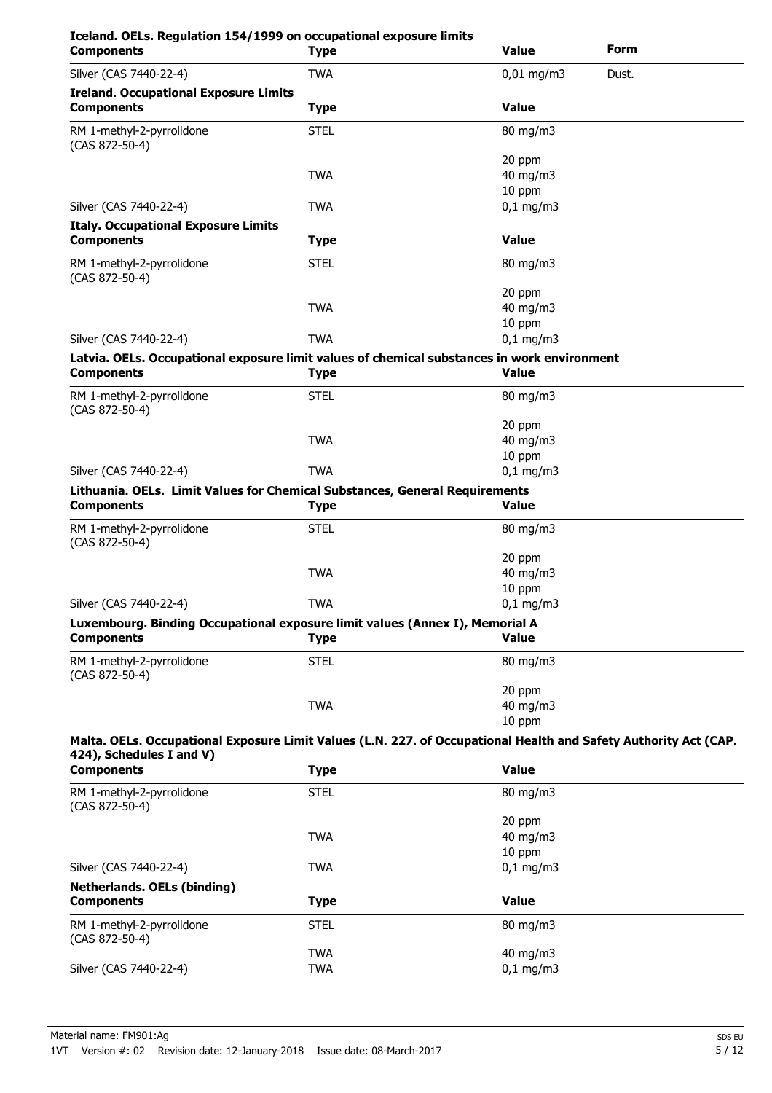| Iceland. OELs. Regulation 154/1999 on occupational exposure limits<br><b>Components</b>                                                      | <b>Type</b> | <b>Value</b>       | Form  |
|----------------------------------------------------------------------------------------------------------------------------------------------|-------------|--------------------|-------|
| Silver (CAS 7440-22-4)                                                                                                                       | <b>TWA</b>  | $0,01$ mg/m3       | Dust. |
| <b>Ireland. Occupational Exposure Limits</b>                                                                                                 |             |                    |       |
| <b>Components</b>                                                                                                                            | <b>Type</b> | <b>Value</b>       |       |
| RM 1-methyl-2-pyrrolidone<br>(CAS 872-50-4)                                                                                                  | <b>STEL</b> | 80 mg/m3           |       |
|                                                                                                                                              |             | 20 ppm             |       |
|                                                                                                                                              | <b>TWA</b>  | 40 mg/m3           |       |
|                                                                                                                                              |             | 10 ppm             |       |
| Silver (CAS 7440-22-4)                                                                                                                       | <b>TWA</b>  | $0,1$ mg/m3        |       |
| <b>Italy. Occupational Exposure Limits</b><br><b>Components</b>                                                                              | <b>Type</b> | <b>Value</b>       |       |
|                                                                                                                                              |             |                    |       |
| RM 1-methyl-2-pyrrolidone<br>(CAS 872-50-4)                                                                                                  | <b>STEL</b> | 80 mg/m3           |       |
|                                                                                                                                              |             | 20 ppm             |       |
|                                                                                                                                              | <b>TWA</b>  | 40 mg/m3<br>10 ppm |       |
| Silver (CAS 7440-22-4)                                                                                                                       | <b>TWA</b>  | $0,1$ mg/m3        |       |
|                                                                                                                                              |             |                    |       |
| Latvia. OELs. Occupational exposure limit values of chemical substances in work environment<br><b>Components</b>                             | <b>Type</b> | <b>Value</b>       |       |
| RM 1-methyl-2-pyrrolidone<br>(CAS 872-50-4)                                                                                                  | <b>STEL</b> | 80 mg/m3           |       |
|                                                                                                                                              |             | 20 ppm             |       |
|                                                                                                                                              | <b>TWA</b>  | 40 mg/m3           |       |
|                                                                                                                                              |             | 10 ppm             |       |
| Silver (CAS 7440-22-4)                                                                                                                       | <b>TWA</b>  | $0,1$ mg/m3        |       |
| Lithuania. OELs. Limit Values for Chemical Substances, General Requirements                                                                  |             |                    |       |
| <b>Components</b>                                                                                                                            | <b>Type</b> | <b>Value</b>       |       |
| RM 1-methyl-2-pyrrolidone<br>(CAS 872-50-4)                                                                                                  | <b>STEL</b> | 80 mg/m3           |       |
|                                                                                                                                              |             | 20 ppm             |       |
|                                                                                                                                              | <b>TWA</b>  | 40 mg/m3           |       |
|                                                                                                                                              |             | 10 ppm             |       |
| Silver (CAS 7440-22-4)                                                                                                                       | <b>TWA</b>  | $0,1$ mg/m3        |       |
| Luxembourg. Binding Occupational exposure limit values (Annex I), Memorial A                                                                 |             |                    |       |
| <b>Components</b>                                                                                                                            | <b>Type</b> | <b>Value</b>       |       |
| RM 1-methyl-2-pyrrolidone<br>(CAS 872-50-4)                                                                                                  | <b>STEL</b> | 80 mg/m3           |       |
|                                                                                                                                              |             | 20 ppm             |       |
|                                                                                                                                              | <b>TWA</b>  | 40 mg/m3           |       |
|                                                                                                                                              |             | 10 ppm             |       |
| Malta. OELs. Occupational Exposure Limit Values (L.N. 227. of Occupational Health and Safety Authority Act (CAP.<br>424), Schedules I and V) |             |                    |       |
| <b>Components</b>                                                                                                                            | <b>Type</b> | <b>Value</b>       |       |
|                                                                                                                                              |             |                    |       |
| RM 1-methyl-2-pyrrolidone<br>(CAS 872-50-4)                                                                                                  | <b>STEL</b> | 80 mg/m3           |       |
|                                                                                                                                              |             | 20 ppm             |       |
|                                                                                                                                              | <b>TWA</b>  | 40 mg/m3           |       |
| Silver (CAS 7440-22-4)                                                                                                                       | <b>TWA</b>  | 10 ppm             |       |
|                                                                                                                                              |             | $0,1$ mg/m3        |       |
| <b>Netherlands. OELs (binding)</b><br><b>Components</b>                                                                                      | <b>Type</b> | <b>Value</b>       |       |
| RM 1-methyl-2-pyrrolidone<br>(CAS 872-50-4)                                                                                                  | <b>STEL</b> | 80 mg/m3           |       |
|                                                                                                                                              | <b>TWA</b>  | 40 mg/m3           |       |

Silver (CAS 7440-22-4) TWA TWA 0,1 mg/m3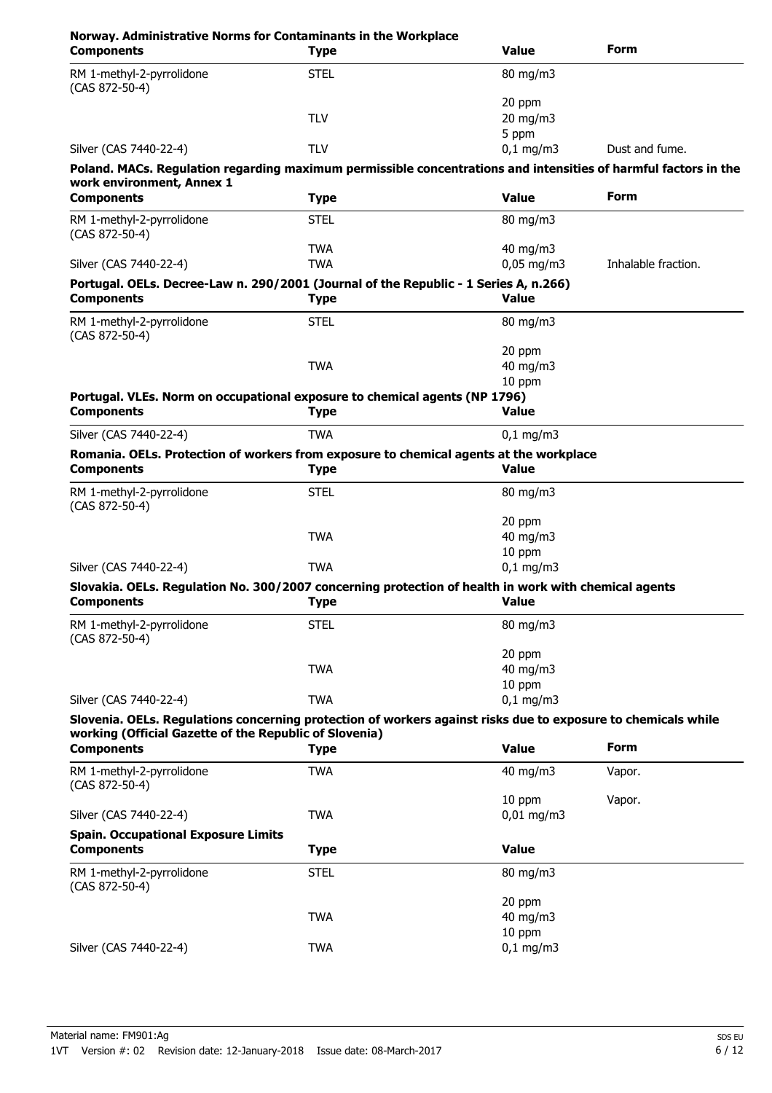| Norway. Administrative Norms for Contaminants in the Workplace<br><b>Components</b>                                                                                     | <b>Type</b>              | <b>Value</b>                | Form                |
|-------------------------------------------------------------------------------------------------------------------------------------------------------------------------|--------------------------|-----------------------------|---------------------|
| RM 1-methyl-2-pyrrolidone<br>(CAS 872-50-4)                                                                                                                             | <b>STEL</b>              | 80 mg/m3                    |                     |
|                                                                                                                                                                         | <b>TLV</b>               | 20 ppm<br>20 mg/m3<br>5 ppm |                     |
| Silver (CAS 7440-22-4)                                                                                                                                                  | <b>TLV</b>               | $0,1$ mg/m3                 | Dust and fume.      |
| Poland. MACs. Regulation regarding maximum permissible concentrations and intensities of harmful factors in the                                                         |                          |                             |                     |
| work environment, Annex 1                                                                                                                                               |                          |                             |                     |
| <b>Components</b>                                                                                                                                                       | <b>Type</b>              | <b>Value</b>                | <b>Form</b>         |
| RM 1-methyl-2-pyrrolidone<br>(CAS 872-50-4)                                                                                                                             | <b>STEL</b>              | 80 mg/m3                    |                     |
| Silver (CAS 7440-22-4)                                                                                                                                                  | <b>TWA</b><br><b>TWA</b> | 40 mg/m3<br>$0,05$ mg/m3    | Inhalable fraction. |
| Portugal. OELs. Decree-Law n. 290/2001 (Journal of the Republic - 1 Series A, n.266)                                                                                    |                          |                             |                     |
| <b>Components</b>                                                                                                                                                       | <b>Type</b>              | <b>Value</b>                |                     |
| RM 1-methyl-2-pyrrolidone<br>(CAS 872-50-4)                                                                                                                             | <b>STEL</b>              | $80 \text{ mg/m}$           |                     |
|                                                                                                                                                                         | <b>TWA</b>               | 20 ppm<br>40 mg/m3          |                     |
|                                                                                                                                                                         |                          | 10 ppm                      |                     |
| Portugal. VLEs. Norm on occupational exposure to chemical agents (NP 1796)                                                                                              |                          |                             |                     |
| <b>Components</b>                                                                                                                                                       | Type                     | <b>Value</b>                |                     |
| Silver (CAS 7440-22-4)                                                                                                                                                  | <b>TWA</b>               | $0,1$ mg/m3                 |                     |
| Romania. OELs. Protection of workers from exposure to chemical agents at the workplace<br><b>Components</b>                                                             | <b>Type</b>              | <b>Value</b>                |                     |
| RM 1-methyl-2-pyrrolidone<br>(CAS 872-50-4)                                                                                                                             | <b>STEL</b>              | 80 mg/m3                    |                     |
|                                                                                                                                                                         |                          | 20 ppm                      |                     |
|                                                                                                                                                                         | <b>TWA</b>               | 40 mg/m3                    |                     |
| Silver (CAS 7440-22-4)                                                                                                                                                  | <b>TWA</b>               | 10 ppm<br>$0,1$ mg/m3       |                     |
| Slovakia. OELs. Regulation No. 300/2007 concerning protection of health in work with chemical agents                                                                    |                          |                             |                     |
| <b>Components</b>                                                                                                                                                       | <b>Type</b>              | <b>Value</b>                |                     |
| RM 1-methyl-2-pyrrolidone<br>$(CAS 872-50-4)$                                                                                                                           | <b>STEL</b>              | 80 mg/m3                    |                     |
|                                                                                                                                                                         |                          | 20 ppm                      |                     |
|                                                                                                                                                                         | <b>TWA</b>               | 40 mg/m3<br>10 ppm          |                     |
| Silver (CAS 7440-22-4)                                                                                                                                                  | <b>TWA</b>               | $0,1$ mg/m3                 |                     |
| Slovenia. OELs. Regulations concerning protection of workers against risks due to exposure to chemicals while<br>working (Official Gazette of the Republic of Slovenia) |                          |                             |                     |
| <b>Components</b>                                                                                                                                                       | <b>Type</b>              | <b>Value</b>                | <b>Form</b>         |
| RM 1-methyl-2-pyrrolidone<br>(CAS 872-50-4)                                                                                                                             | <b>TWA</b>               | 40 mg/m3                    | Vapor.              |
| Silver (CAS 7440-22-4)                                                                                                                                                  | <b>TWA</b>               | 10 ppm<br>$0,01$ mg/m3      | Vapor.              |
| <b>Spain. Occupational Exposure Limits</b>                                                                                                                              |                          |                             |                     |
| <b>Components</b>                                                                                                                                                       | <b>Type</b>              | <b>Value</b>                |                     |
| RM 1-methyl-2-pyrrolidone<br>(CAS 872-50-4)                                                                                                                             | <b>STEL</b>              | 80 mg/m3                    |                     |
|                                                                                                                                                                         |                          | 20 ppm                      |                     |
|                                                                                                                                                                         | <b>TWA</b>               | 40 mg/m3<br>10 ppm          |                     |
| Silver (CAS 7440-22-4)                                                                                                                                                  | <b>TWA</b>               | $0,1$ mg/m3                 |                     |
|                                                                                                                                                                         |                          |                             |                     |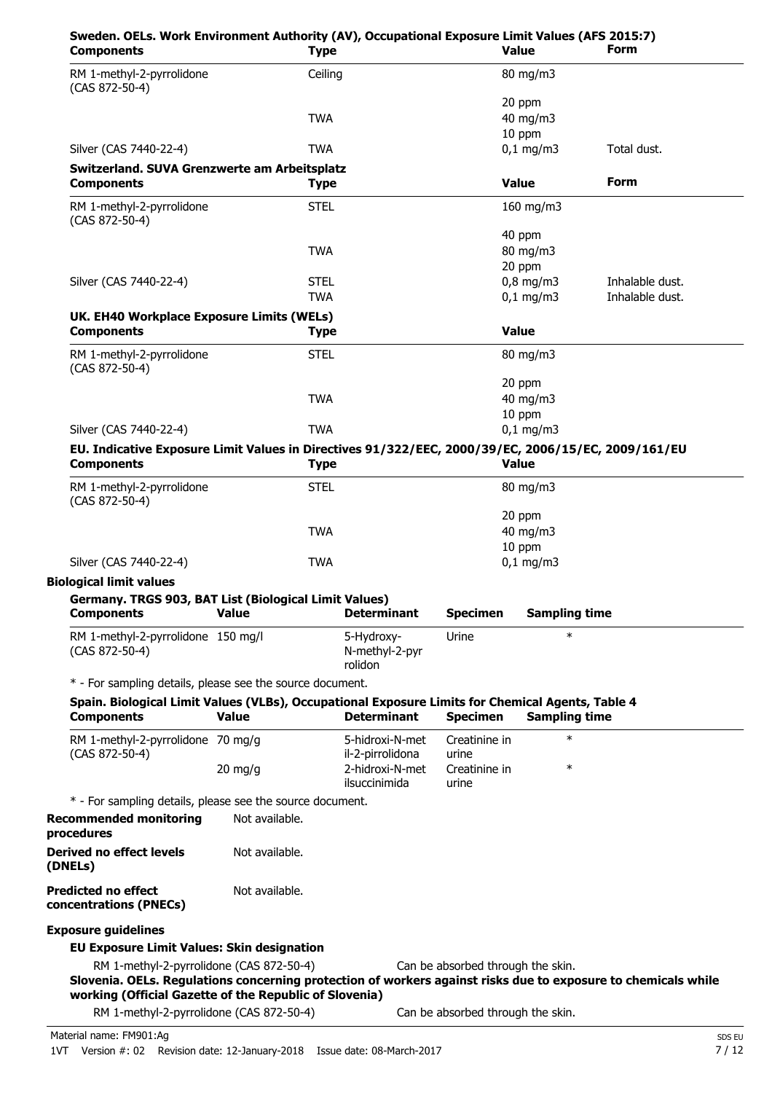| Sweden. OELs. Work Environment Authority (AV), Occupational Exposure Limit Values (AFS 2015:7)<br><b>Components</b>                                                                                                 | <b>Type</b>    |                                         |                                   | <b>Value</b>         | Form            |
|---------------------------------------------------------------------------------------------------------------------------------------------------------------------------------------------------------------------|----------------|-----------------------------------------|-----------------------------------|----------------------|-----------------|
| RM 1-methyl-2-pyrrolidone<br>(CAS 872-50-4)                                                                                                                                                                         |                | Ceiling                                 |                                   | 80 mg/m3             |                 |
|                                                                                                                                                                                                                     |                |                                         |                                   | 20 ppm               |                 |
|                                                                                                                                                                                                                     | <b>TWA</b>     |                                         |                                   | 40 mg/m3             |                 |
|                                                                                                                                                                                                                     |                |                                         |                                   | 10 ppm               |                 |
| Silver (CAS 7440-22-4)                                                                                                                                                                                              | <b>TWA</b>     |                                         |                                   | $0,1$ mg/m3          | Total dust.     |
| Switzerland. SUVA Grenzwerte am Arbeitsplatz<br><b>Components</b>                                                                                                                                                   | <b>Type</b>    |                                         |                                   | <b>Value</b>         | <b>Form</b>     |
| RM 1-methyl-2-pyrrolidone<br>(CAS 872-50-4)                                                                                                                                                                         | <b>STEL</b>    |                                         |                                   | 160 mg/m3            |                 |
|                                                                                                                                                                                                                     |                |                                         |                                   | 40 ppm               |                 |
|                                                                                                                                                                                                                     | <b>TWA</b>     |                                         |                                   | 80 mg/m3             |                 |
|                                                                                                                                                                                                                     |                |                                         |                                   | 20 ppm               |                 |
| Silver (CAS 7440-22-4)                                                                                                                                                                                              | <b>STEL</b>    |                                         |                                   | $0,8$ mg/m3          | Inhalable dust. |
|                                                                                                                                                                                                                     | <b>TWA</b>     |                                         |                                   | $0,1$ mg/m3          | Inhalable dust. |
| UK. EH40 Workplace Exposure Limits (WELs)                                                                                                                                                                           |                |                                         |                                   |                      |                 |
| <b>Components</b>                                                                                                                                                                                                   | <b>Type</b>    |                                         |                                   | <b>Value</b>         |                 |
| RM 1-methyl-2-pyrrolidone<br>(CAS 872-50-4)                                                                                                                                                                         | <b>STEL</b>    |                                         |                                   | 80 mg/m3             |                 |
|                                                                                                                                                                                                                     |                |                                         |                                   | 20 ppm               |                 |
|                                                                                                                                                                                                                     | <b>TWA</b>     |                                         |                                   | 40 mg/m3             |                 |
|                                                                                                                                                                                                                     |                |                                         |                                   | 10 ppm               |                 |
| Silver (CAS 7440-22-4)                                                                                                                                                                                              | <b>TWA</b>     |                                         |                                   | $0,1$ mg/m3          |                 |
| EU. Indicative Exposure Limit Values in Directives 91/322/EEC, 2000/39/EC, 2006/15/EC, 2009/161/EU                                                                                                                  |                |                                         |                                   |                      |                 |
| <b>Components</b>                                                                                                                                                                                                   | <b>Type</b>    |                                         |                                   | <b>Value</b>         |                 |
| RM 1-methyl-2-pyrrolidone<br>(CAS 872-50-4)                                                                                                                                                                         | <b>STEL</b>    |                                         |                                   | 80 mg/m3             |                 |
|                                                                                                                                                                                                                     |                |                                         |                                   | 20 ppm               |                 |
|                                                                                                                                                                                                                     | <b>TWA</b>     |                                         |                                   | 40 mg/m3             |                 |
|                                                                                                                                                                                                                     |                |                                         |                                   | 10 ppm               |                 |
| Silver (CAS 7440-22-4)                                                                                                                                                                                              | <b>TWA</b>     |                                         |                                   | $0,1$ mg/m3          |                 |
| <b>Biological limit values</b>                                                                                                                                                                                      |                |                                         |                                   |                      |                 |
| Germany. TRGS 903, BAT List (Biological Limit Values)<br><b>Components</b>                                                                                                                                          | Value          | <b>Determinant</b>                      | <b>Specimen</b>                   | <b>Sampling time</b> |                 |
| RM 1-methyl-2-pyrrolidone 150 mg/l<br>(CAS 872-50-4)                                                                                                                                                                |                | 5-Hydroxy-<br>N-methyl-2-pyr<br>rolidon | Urine                             | $\ast$               |                 |
| * - For sampling details, please see the source document.                                                                                                                                                           |                |                                         |                                   |                      |                 |
| Spain. Biological Limit Values (VLBs), Occupational Exposure Limits for Chemical Agents, Table 4                                                                                                                    |                |                                         |                                   |                      |                 |
| <b>Components</b>                                                                                                                                                                                                   | <b>Value</b>   | <b>Determinant</b>                      | <b>Specimen</b>                   | <b>Sampling time</b> |                 |
| RM 1-methyl-2-pyrrolidone 70 mg/g                                                                                                                                                                                   |                | 5-hidroxi-N-met<br>il-2-pirrolidona     | Creatinine in<br>urine            | $\ast$               |                 |
| (CAS 872-50-4)                                                                                                                                                                                                      | $20$ mg/g      | 2-hidroxi-N-met<br>ilsuccinimida        | Creatinine in<br>urine            | $\ast$               |                 |
| * - For sampling details, please see the source document.                                                                                                                                                           |                |                                         |                                   |                      |                 |
|                                                                                                                                                                                                                     |                |                                         |                                   |                      |                 |
| <b>Recommended monitoring</b><br>procedures                                                                                                                                                                         | Not available. |                                         |                                   |                      |                 |
| <b>Derived no effect levels</b><br>(DNELs)                                                                                                                                                                          | Not available. |                                         |                                   |                      |                 |
| <b>Predicted no effect</b><br>concentrations (PNECs)                                                                                                                                                                | Not available. |                                         |                                   |                      |                 |
| <b>Exposure guidelines</b>                                                                                                                                                                                          |                |                                         |                                   |                      |                 |
|                                                                                                                                                                                                                     |                |                                         |                                   |                      |                 |
| <b>EU Exposure Limit Values: Skin designation</b>                                                                                                                                                                   |                |                                         |                                   |                      |                 |
| RM 1-methyl-2-pyrrolidone (CAS 872-50-4)<br>Slovenia. OELs. Regulations concerning protection of workers against risks due to exposure to chemicals while<br>working (Official Gazette of the Republic of Slovenia) |                |                                         | Can be absorbed through the skin. |                      |                 |
| RM 1-methyl-2-pyrrolidone (CAS 872-50-4)                                                                                                                                                                            |                |                                         | Can be absorbed through the skin. |                      |                 |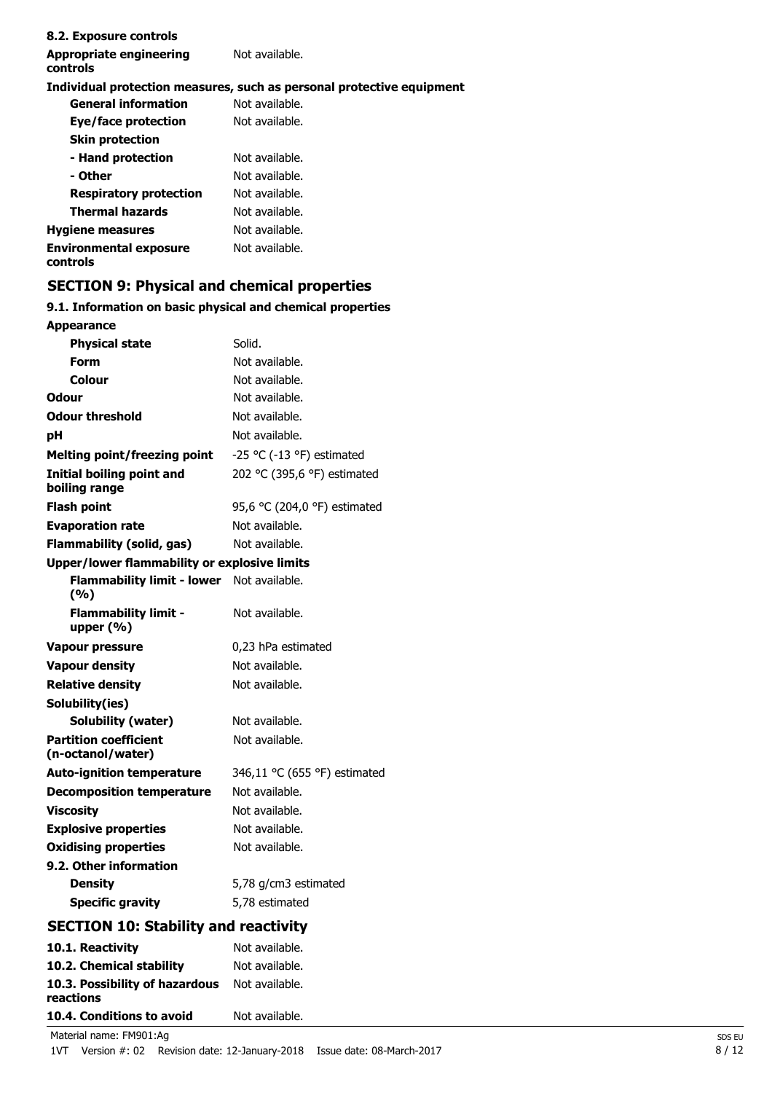| 8.2. Exposure controls                     |                                                                       |
|--------------------------------------------|-----------------------------------------------------------------------|
| <b>Appropriate engineering</b><br>controls | Not available.                                                        |
|                                            | Individual protection measures, such as personal protective equipment |
| <b>General information</b>                 | Not available.                                                        |
| Eye/face protection                        | Not available.                                                        |
| <b>Skin protection</b>                     |                                                                       |
| - Hand protection                          | Not available.                                                        |
| - Other                                    | Not available.                                                        |
| <b>Respiratory protection</b>              | Not available.                                                        |
| <b>Thermal hazards</b>                     | Not available.                                                        |
| <b>Hygiene measures</b>                    | Not available.                                                        |
| <b>Environmental exposure</b><br>controls  | Not available.                                                        |

# **SECTION 9: Physical and chemical properties**

### **9.1. Information on basic physical and chemical properties**

| <b>Appearance</b>                                 |                              |
|---------------------------------------------------|------------------------------|
| <b>Physical state</b>                             | Solid.                       |
| <b>Form</b>                                       | Not available.               |
| <b>Colour</b>                                     | Not available.               |
| <b>Odour</b>                                      | Not available.               |
| <b>Odour threshold</b>                            | Not available.               |
| рH                                                | Not available.               |
| <b>Melting point/freezing point</b>               | -25 °C (-13 °F) estimated    |
| Initial boiling point and<br>boiling range        | 202 °C (395,6 °F) estimated  |
| <b>Flash point</b>                                | 95,6 °C (204,0 °F) estimated |
| <b>Evaporation rate</b>                           | Not available.               |
| <b>Flammability (solid, gas)</b>                  | Not available.               |
| Upper/lower flammability or explosive limits      |                              |
| <b>Flammability limit - lower</b><br>(%)          | Not available.               |
| <b>Flammability limit -</b><br>upper $(% )$       | Not available.               |
| <b>Vapour pressure</b>                            | 0,23 hPa estimated           |
| <b>Vapour density</b>                             | Not available.               |
| <b>Relative density</b>                           | Not available.               |
| Solubility(ies)                                   |                              |
| Solubility (water)                                | Not available.               |
| <b>Partition coefficient</b><br>(n-octanol/water) | Not available.               |
| <b>Auto-ignition temperature</b>                  | 346,11 °C (655 °F) estimated |
| <b>Decomposition temperature</b>                  | Not available.               |
| <b>Viscosity</b>                                  | Not available.               |
| <b>Explosive properties</b>                       | Not available.               |
| <b>Oxidising properties</b>                       | Not available.               |
| 9.2. Other information                            |                              |
| <b>Density</b>                                    | 5,78 g/cm3 estimated         |
| <b>Specific gravity</b>                           | 5.78 estimated               |
| <b>SECTION 10: Stability and reactivity</b>       |                              |
| 10.1. Reactivity                                  | Not available.               |
| 10.2. Chemical stability                          | Not available.               |
| 10.3. Possibility of hazardous                    | Not available.               |

| 10.4. Conditions to avoid | Not available. |
|---------------------------|----------------|
|                           |                |

Material name: FM901:Ag SDS EU

**reactions**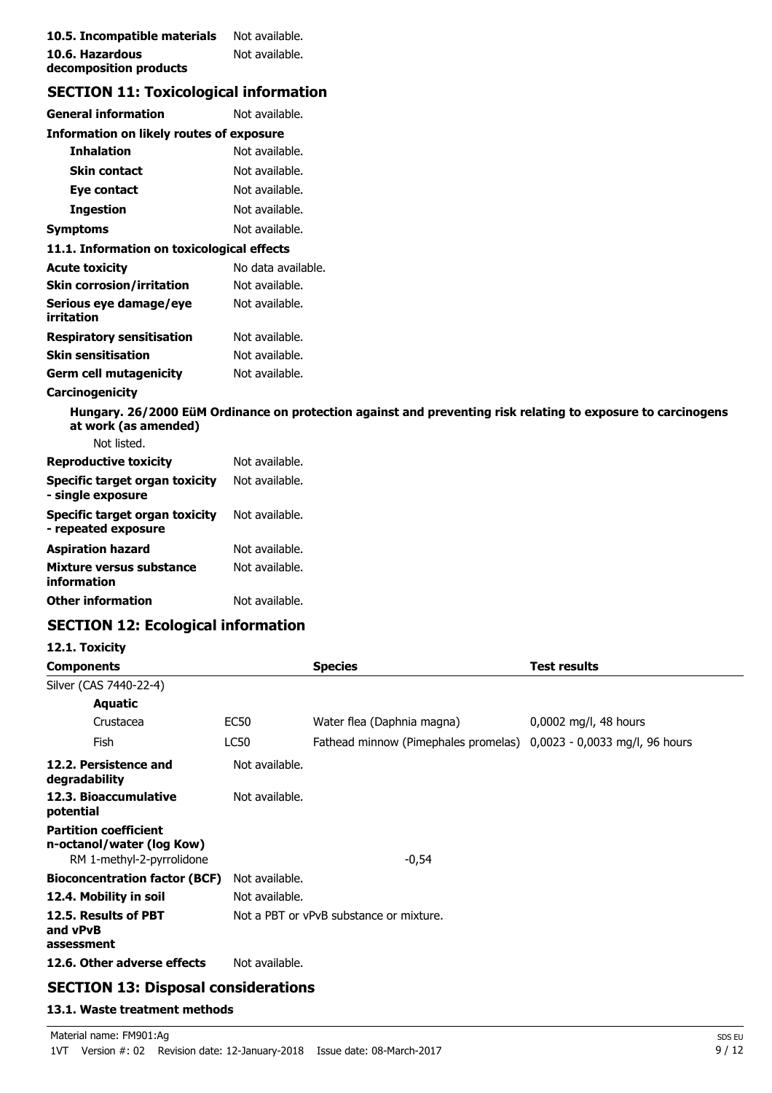| 10.5. Incompatible materials | Not available. |
|------------------------------|----------------|
| 10.6. Hazardous              | Not available. |
| decomposition products       |                |

# **SECTION 11: Toxicological information**

| General information                             | Not available.     |  |
|-------------------------------------------------|--------------------|--|
| <b>Information on likely routes of exposure</b> |                    |  |
| <b>Inhalation</b>                               | Not available.     |  |
| Skin contact                                    | Not available.     |  |
| Eye contact                                     | Not available.     |  |
| Ingestion                                       | Not available.     |  |
| Symptoms                                        | Not available.     |  |
| 11.1. Information on toxicological effects      |                    |  |
| Acute toxicity                                  | No data available. |  |
| Skin corrosion/irritation                       | Not available.     |  |
| Serious eye damage/eye<br>irritation            | Not available.     |  |
| Respiratory sensitisation                       | Not available.     |  |
| Skin sensitisation                              | Not available.     |  |
| Germ cell mutagenicity                          | Not available.     |  |
|                                                 |                    |  |

### **Carcinogenicity**

**Hungary. 26/2000 EüM Ordinance on protection against and preventing risk relating to exposure to carcinogens at work (as amended)** Not listed.

| <u>ivul iisteu.</u>                                   |                |
|-------------------------------------------------------|----------------|
| <b>Reproductive toxicity</b>                          | Not available. |
| Specific target organ toxicity<br>- single exposure   | Not available. |
| Specific target organ toxicity<br>- repeated exposure | Not available. |
| Aspiration hazard                                     | Not available. |
| Mixture versus substance<br>information               | Not available. |
| <b>Other information</b>                              | Not available. |
|                                                       |                |

# **SECTION 12: Ecological information**

**12.1. Toxicity**

| <b>Components</b>                                                                      |                | <b>Species</b>                                                      | <b>Test results</b>     |
|----------------------------------------------------------------------------------------|----------------|---------------------------------------------------------------------|-------------------------|
| Silver (CAS 7440-22-4)                                                                 |                |                                                                     |                         |
| <b>Aquatic</b>                                                                         |                |                                                                     |                         |
| Crustacea                                                                              | EC50           | Water flea (Daphnia magna)                                          | $0,0002$ mg/l, 48 hours |
| Fish                                                                                   | LC50           | Fathead minnow (Pimephales promelas) 0,0023 - 0,0033 mg/l, 96 hours |                         |
| 12.2. Persistence and<br>degradability                                                 | Not available. |                                                                     |                         |
| 12.3. Bioaccumulative<br>potential                                                     | Not available. |                                                                     |                         |
| <b>Partition coefficient</b><br>n-octanol/water (log Kow)<br>RM 1-methyl-2-pyrrolidone |                | $-0,54$                                                             |                         |
| <b>Bioconcentration factor (BCF)</b>                                                   | Not available. |                                                                     |                         |
| 12.4. Mobility in soil                                                                 | Not available. |                                                                     |                         |
| 12.5. Results of PBT<br>and vPvB<br>assessment                                         |                | Not a PBT or vPvB substance or mixture.                             |                         |
| 12.6. Other adverse effects                                                            | Not available. |                                                                     |                         |

# **SECTION 13: Disposal considerations**

#### **13.1. Waste treatment methods**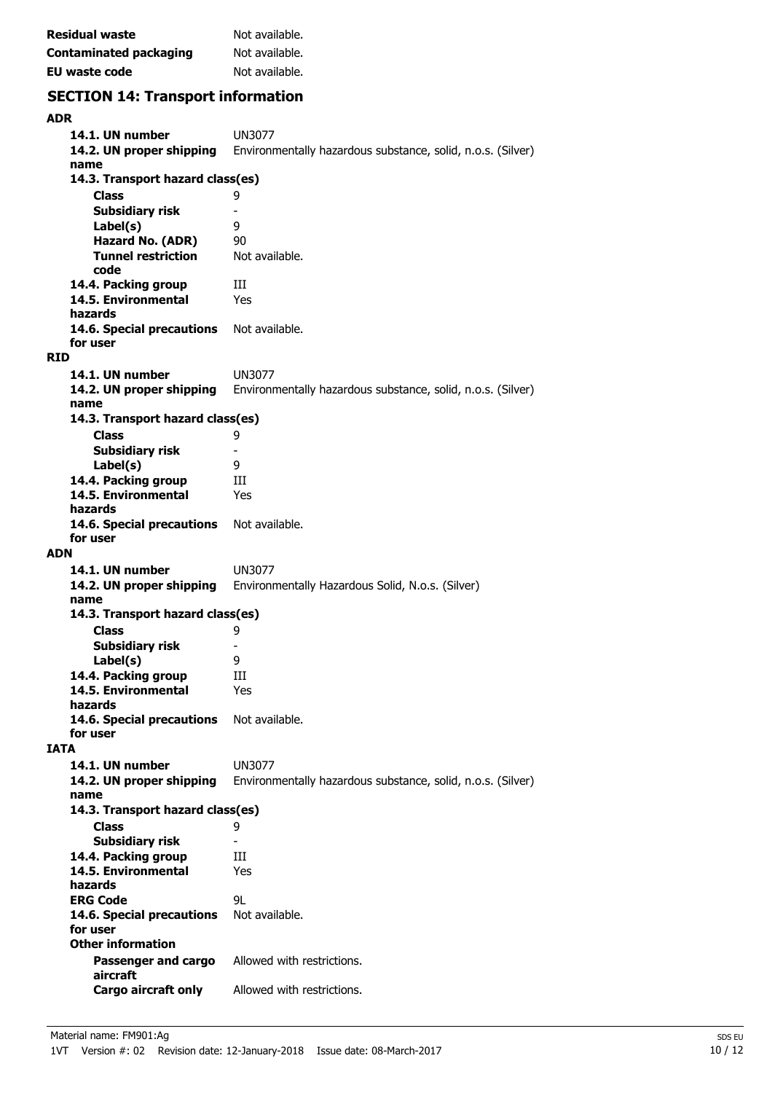| <b>Residual waste</b>  | Not available. |
|------------------------|----------------|
| Contaminated packaging | Not available. |
| EU waste code          | Not available. |

# **SECTION 14: Transport information**

| <b>ADR</b>                            |                                                             |
|---------------------------------------|-------------------------------------------------------------|
| 14.1. UN number                       | UN3077                                                      |
| 14.2. UN proper shipping              | Environmentally hazardous substance, solid, n.o.s. (Silver) |
| name                                  |                                                             |
| 14.3. Transport hazard class(es)      |                                                             |
| <b>Class</b>                          | 9                                                           |
| <b>Subsidiary risk</b>                | $\overline{\phantom{0}}$                                    |
| Label(s)                              | 9                                                           |
| Hazard No. (ADR)                      | 90                                                          |
| <b>Tunnel restriction</b>             | Not available.                                              |
| code                                  |                                                             |
| 14.4. Packing group                   | Ш                                                           |
| 14.5. Environmental                   | Yes                                                         |
| hazards                               |                                                             |
| 14.6. Special precautions             | Not available.                                              |
| for user                              |                                                             |
| <b>RID</b>                            |                                                             |
| 14.1. UN number                       | <b>UN3077</b>                                               |
| 14.2. UN proper shipping              | Environmentally hazardous substance, solid, n.o.s. (Silver) |
| name                                  |                                                             |
| 14.3. Transport hazard class(es)      |                                                             |
| <b>Class</b>                          | 9                                                           |
| <b>Subsidiary risk</b>                | -                                                           |
| Label(s)                              | 9                                                           |
| 14.4. Packing group                   | Ш                                                           |
| 14.5. Environmental                   | Yes                                                         |
| hazards                               |                                                             |
| 14.6. Special precautions<br>for user | Not available.                                              |
| <b>ADN</b>                            |                                                             |
|                                       |                                                             |
|                                       |                                                             |
| 14.1. UN number                       | UN3077                                                      |
| 14.2. UN proper shipping              | Environmentally Hazardous Solid, N.o.s. (Silver)            |
| name                                  |                                                             |
| 14.3. Transport hazard class(es)      |                                                             |
| <b>Class</b>                          | 9                                                           |
| Subsidiary risk                       |                                                             |
| Label(s)                              | 9                                                           |
| 14.4. Packing group                   | Ш                                                           |
| 14.5. Environmental<br>hazards        | Yes                                                         |
| 14.6. Special precautions             | Not available.                                              |
| for user                              |                                                             |
| <b>IATA</b>                           |                                                             |
| 14.1. UN number                       | <b>UN3077</b>                                               |
| 14.2. UN proper shipping              | Environmentally hazardous substance, solid, n.o.s. (Silver) |
| name                                  |                                                             |
| 14.3. Transport hazard class(es)      |                                                             |
| <b>Class</b>                          | 9                                                           |
| <b>Subsidiary risk</b>                |                                                             |
| 14.4. Packing group                   | Ш                                                           |
| 14.5. Environmental                   | Yes                                                         |
| hazards                               |                                                             |
| <b>ERG Code</b>                       | 91                                                          |
| 14.6. Special precautions             | Not available.                                              |
| for user                              |                                                             |
| <b>Other information</b>              |                                                             |
| Passenger and cargo                   | Allowed with restrictions.                                  |
| aircraft<br>Cargo aircraft only       | Allowed with restrictions.                                  |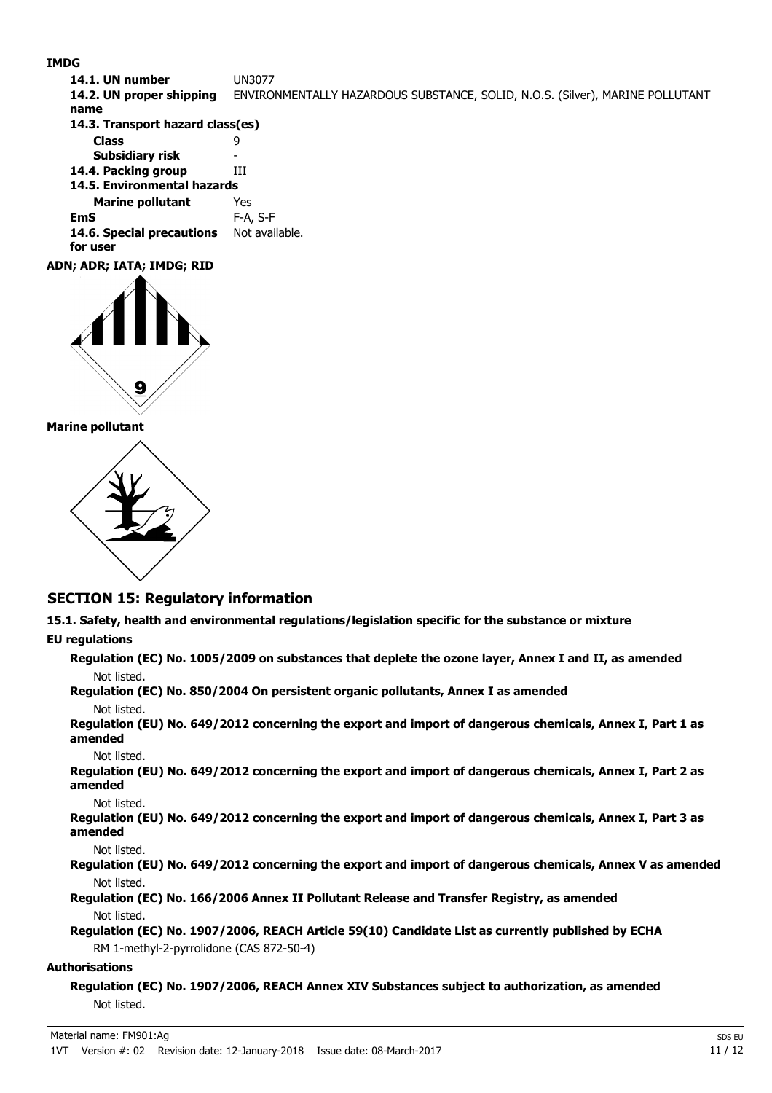#### **IMDG**

**14.1. UN number** UN3077 **14.2. UN proper shipping** ENVIRONMENTALLY HAZARDOUS SUBSTANCE, SOLID, N.O.S. (Silver), MARINE POLLUTANT **name Class** 9 **14.3. Transport hazard class(es) Subsidiary risk 14.4. Packing group III Marine pollutant** Yes **14.5. Environmental hazards EmS** F-A, S-F 14.6. Special precautions Not available. **for user ADN; ADR; IATA; IMDG; RID**



#### **Marine pollutant**



## **SECTION 15: Regulatory information**

**15.1. Safety, health and environmental regulations/legislation specific for the substance or mixture**

### **EU regulations**

**Regulation (EC) No. 1005/2009 on substances that deplete the ozone layer, Annex I and II, as amended** Not listed.

**Regulation (EC) No. 850/2004 On persistent organic pollutants, Annex I as amended** Not listed.

**Regulation (EU) No. 649/2012 concerning the export and import of dangerous chemicals, Annex I, Part 1 as amended**

Not listed.

**Regulation (EU) No. 649/2012 concerning the export and import of dangerous chemicals, Annex I, Part 2 as amended**

#### Not listed.

**Regulation (EU) No. 649/2012 concerning the export and import of dangerous chemicals, Annex I, Part 3 as amended**

Not listed.

### **Regulation (EU) No. 649/2012 concerning the export and import of dangerous chemicals, Annex V as amended** Not listed.

**Regulation (EC) No. 166/2006 Annex II Pollutant Release and Transfer Registry, as amended** Not listed.

**Regulation (EC) No. 1907/2006, REACH Article 59(10) Candidate List as currently published by ECHA** RM 1-methyl-2-pyrrolidone (CAS 872-50-4)

#### **Authorisations**

**Regulation (EC) No. 1907/2006, REACH Annex XIV Substances subject to authorization, as amended** Not listed.